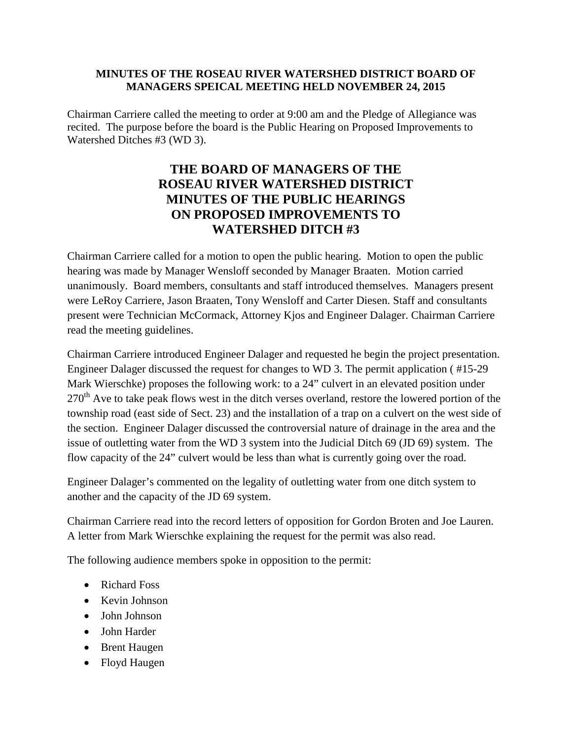## **MINUTES OF THE ROSEAU RIVER WATERSHED DISTRICT BOARD OF MANAGERS SPEICAL MEETING HELD NOVEMBER 24, 2015**

Chairman Carriere called the meeting to order at 9:00 am and the Pledge of Allegiance was recited. The purpose before the board is the Public Hearing on Proposed Improvements to Watershed Ditches #3 (WD 3).

## **THE BOARD OF MANAGERS OF THE ROSEAU RIVER WATERSHED DISTRICT MINUTES OF THE PUBLIC HEARINGS ON PROPOSED IMPROVEMENTS TO WATERSHED DITCH #3**

Chairman Carriere called for a motion to open the public hearing. Motion to open the public hearing was made by Manager Wensloff seconded by Manager Braaten. Motion carried unanimously. Board members, consultants and staff introduced themselves. Managers present were LeRoy Carriere, Jason Braaten, Tony Wensloff and Carter Diesen. Staff and consultants present were Technician McCormack, Attorney Kjos and Engineer Dalager. Chairman Carriere read the meeting guidelines.

Chairman Carriere introduced Engineer Dalager and requested he begin the project presentation. Engineer Dalager discussed the request for changes to WD 3. The permit application ( #15-29 Mark Wierschke) proposes the following work: to a 24" culvert in an elevated position under 270<sup>th</sup> Ave to take peak flows west in the ditch verses overland, restore the lowered portion of the township road (east side of Sect. 23) and the installation of a trap on a culvert on the west side of the section. Engineer Dalager discussed the controversial nature of drainage in the area and the issue of outletting water from the WD 3 system into the Judicial Ditch 69 (JD 69) system. The flow capacity of the 24" culvert would be less than what is currently going over the road.

Engineer Dalager's commented on the legality of outletting water from one ditch system to another and the capacity of the JD 69 system.

Chairman Carriere read into the record letters of opposition for Gordon Broten and Joe Lauren. A letter from Mark Wierschke explaining the request for the permit was also read.

The following audience members spoke in opposition to the permit:

- Richard Foss
- Kevin Johnson
- John Johnson
- John Harder
- Brent Haugen
- Floyd Haugen